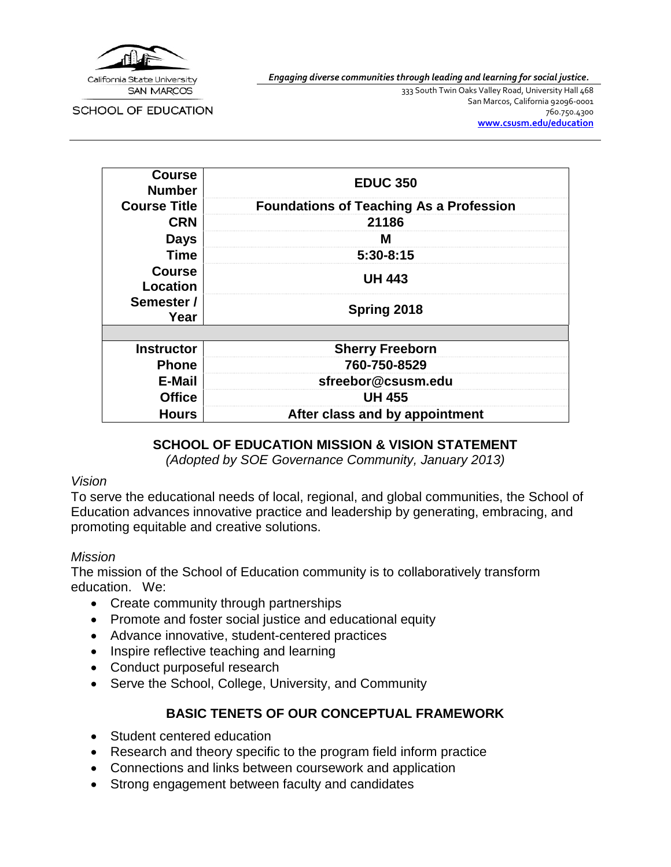

*Engaging diverse communities through leading and learning for social justice.*

SCHOOL OF EDUCATION

333 South Twin Oaks Valley Road, University Hall 468 San Marcos, California 92096-0001 760.750.4300 **[www.csusm.edu/education](http://www.csusm.edu/education)**

| <b>Course</b><br>Number   | <b>EDUC 350</b>                                |  |
|---------------------------|------------------------------------------------|--|
| <b>Course Title</b>       | <b>Foundations of Teaching As a Profession</b> |  |
| <b>CRN</b>                | 21186                                          |  |
| <b>Days</b>               | м                                              |  |
| <b>Time</b>               | $5:30-8:15$                                    |  |
| <b>Course</b><br>Location | <b>UH 443</b>                                  |  |
| Semester /<br>Year        | Spring 2018                                    |  |
|                           |                                                |  |
| <b>Instructor</b>         | <b>Sherry Freeborn</b>                         |  |
| <b>Phone</b>              | 760-750-8529                                   |  |
| E-Mail                    | sfreebor@csusm.edu                             |  |
| <b>Office</b>             | <b>UH 455</b>                                  |  |
| <b>Hours</b>              | After class and by appointment                 |  |

#### **SCHOOL OF EDUCATION MISSION & VISION STATEMENT**

*(Adopted by SOE Governance Community, January 2013)*

#### *Vision*

To serve the educational needs of local, regional, and global communities, the School of Education advances innovative practice and leadership by generating, embracing, and promoting equitable and creative solutions.

#### *Mission*

The mission of the School of Education community is to collaboratively transform education. We:

- Create community through partnerships
- Promote and foster social justice and educational equity
- Advance innovative, student-centered practices
- Inspire reflective teaching and learning
- Conduct purposeful research
- Serve the School, College, University, and Community

# **BASIC TENETS OF OUR CONCEPTUAL FRAMEWORK**

- Student centered education
- Research and theory specific to the program field inform practice
- Connections and links between coursework and application
- Strong engagement between faculty and candidates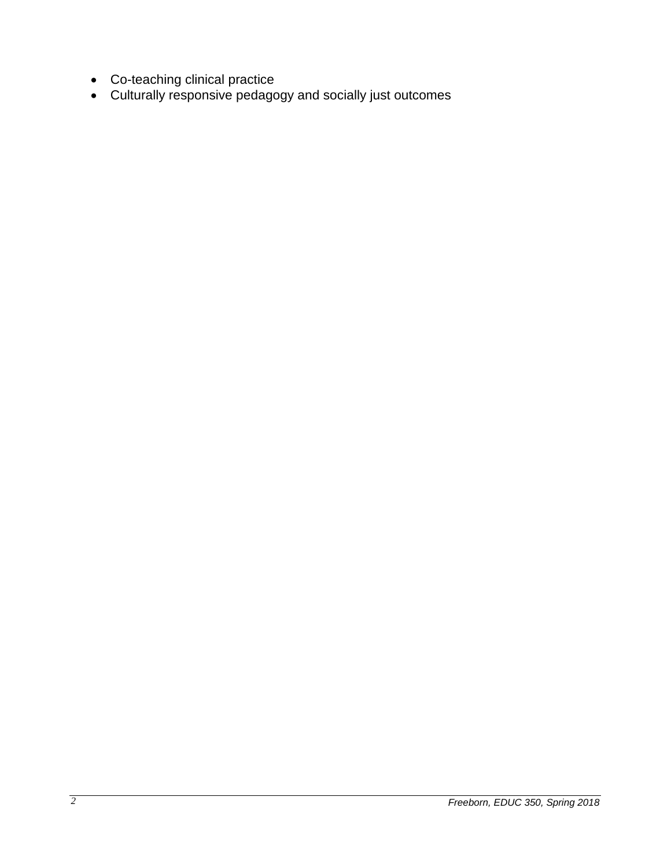- Co-teaching clinical practice
- Culturally responsive pedagogy and socially just outcomes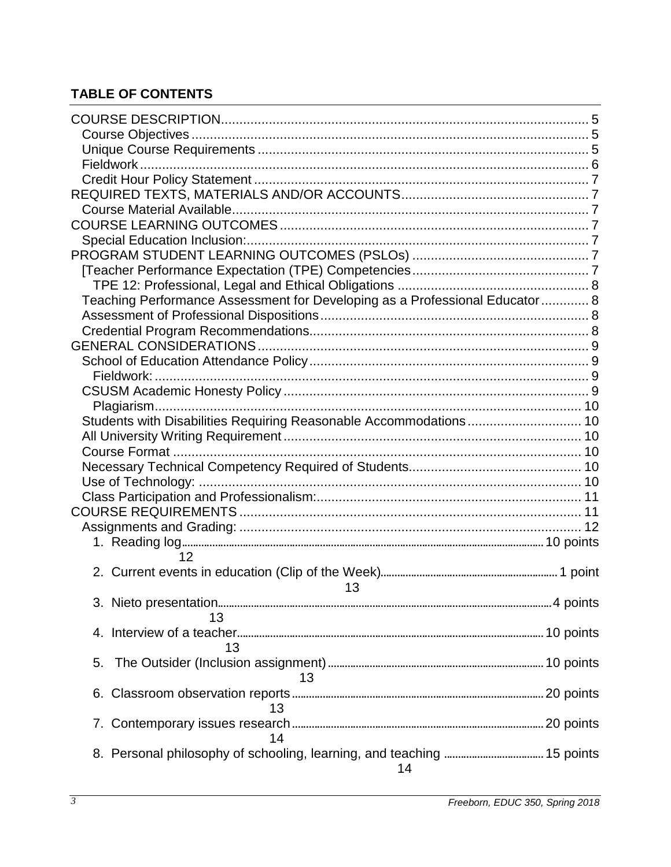# **TABLE OF CONTENTS**

| Teaching Performance Assessment for Developing as a Professional Educator 8 |  |
|-----------------------------------------------------------------------------|--|
|                                                                             |  |
|                                                                             |  |
|                                                                             |  |
|                                                                             |  |
|                                                                             |  |
|                                                                             |  |
|                                                                             |  |
| Students with Disabilities Requiring Reasonable Accommodations 10           |  |
|                                                                             |  |
|                                                                             |  |
|                                                                             |  |
|                                                                             |  |
|                                                                             |  |
|                                                                             |  |
|                                                                             |  |
|                                                                             |  |
|                                                                             |  |
| 12                                                                          |  |
|                                                                             |  |
| 13                                                                          |  |
|                                                                             |  |
| 13                                                                          |  |
|                                                                             |  |
| 13                                                                          |  |
| 5.                                                                          |  |
| 13                                                                          |  |
|                                                                             |  |
| 13                                                                          |  |
|                                                                             |  |
| 14                                                                          |  |
|                                                                             |  |
| 8. Personal philosophy of schooling, learning, and teaching  15 points      |  |
| 14                                                                          |  |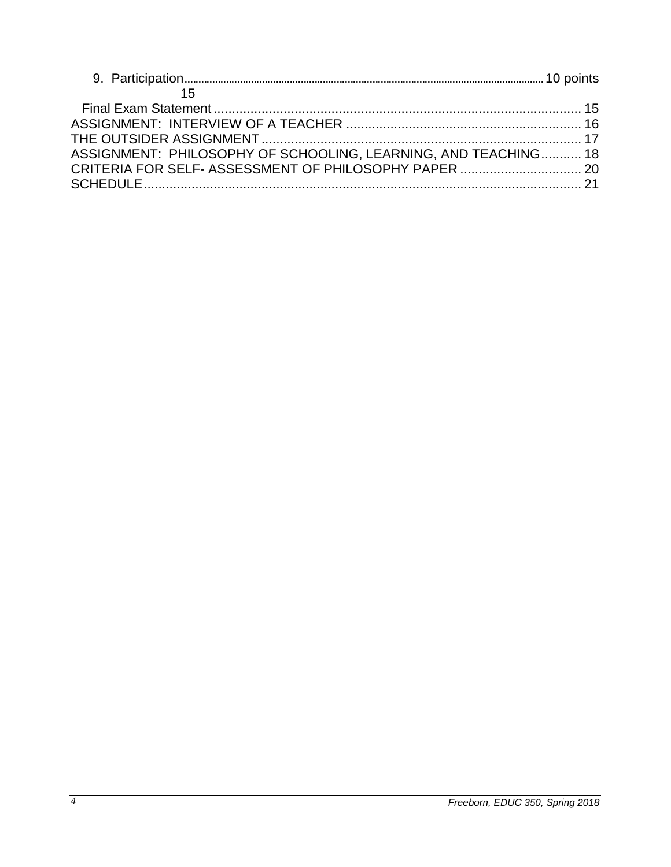| ASSIGNMENT: PHILOSOPHY OF SCHOOLING, LEARNING, AND TEACHING 18 |  |
|----------------------------------------------------------------|--|
|                                                                |  |
|                                                                |  |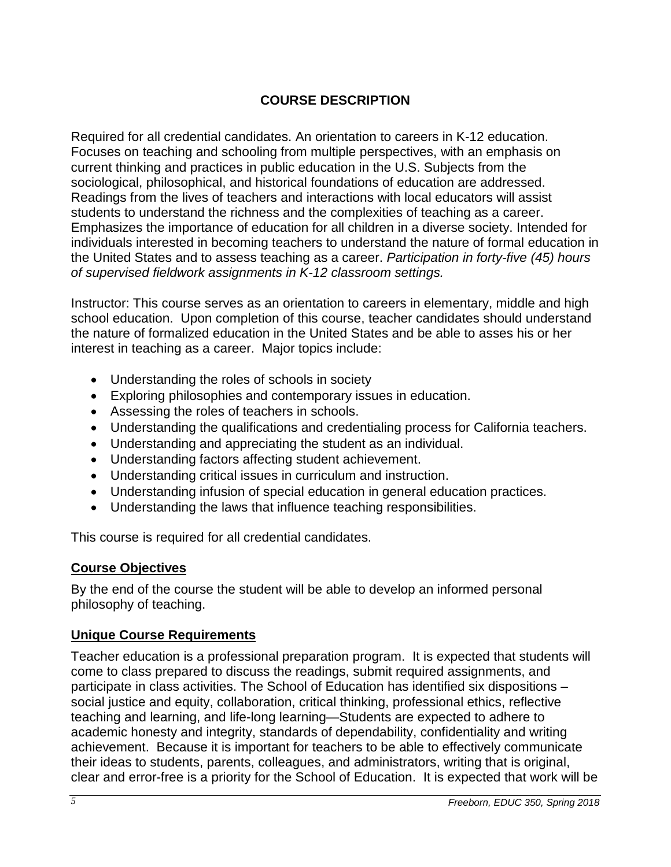# **COURSE DESCRIPTION**

<span id="page-4-0"></span>Required for all credential candidates. An orientation to careers in K-12 education. Focuses on teaching and schooling from multiple perspectives, with an emphasis on current thinking and practices in public education in the U.S. Subjects from the sociological, philosophical, and historical foundations of education are addressed. Readings from the lives of teachers and interactions with local educators will assist students to understand the richness and the complexities of teaching as a career. Emphasizes the importance of education for all children in a diverse society. Intended for individuals interested in becoming teachers to understand the nature of formal education in the United States and to assess teaching as a career. *Participation in forty-five (45) hours of supervised fieldwork assignments in K-12 classroom settings.*

Instructor: This course serves as an orientation to careers in elementary, middle and high school education. Upon completion of this course, teacher candidates should understand the nature of formalized education in the United States and be able to asses his or her interest in teaching as a career. Major topics include:

- Understanding the roles of schools in society
- Exploring philosophies and contemporary issues in education.
- Assessing the roles of teachers in schools.
- Understanding the qualifications and credentialing process for California teachers.
- Understanding and appreciating the student as an individual.
- Understanding factors affecting student achievement.
- Understanding critical issues in curriculum and instruction.
- Understanding infusion of special education in general education practices.
- Understanding the laws that influence teaching responsibilities.

This course is required for all credential candidates.

#### <span id="page-4-1"></span>**Course Objectives**

By the end of the course the student will be able to develop an informed personal philosophy of teaching.

## <span id="page-4-2"></span>**Unique Course Requirements**

Teacher education is a professional preparation program. It is expected that students will come to class prepared to discuss the readings, submit required assignments, and participate in class activities. The School of Education has identified six dispositions – social justice and equity, collaboration, critical thinking, professional ethics, reflective teaching and learning, and life-long learning—Students are expected to adhere to academic honesty and integrity, standards of dependability, confidentiality and writing achievement. Because it is important for teachers to be able to effectively communicate their ideas to students, parents, colleagues, and administrators, writing that is original, clear and error-free is a priority for the School of Education. It is expected that work will be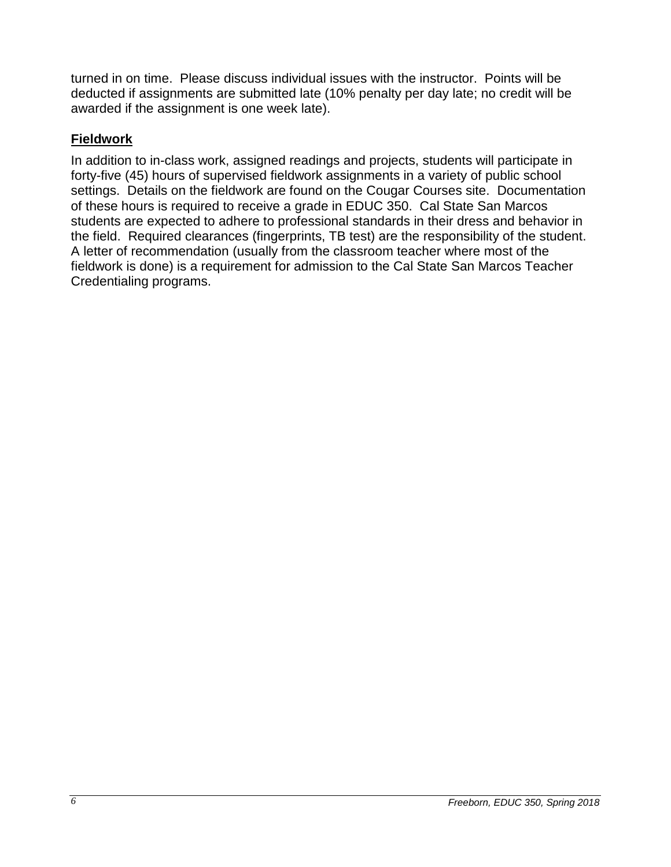turned in on time. Please discuss individual issues with the instructor. Points will be deducted if assignments are submitted late (10% penalty per day late; no credit will be awarded if the assignment is one week late).

# <span id="page-5-0"></span>**Fieldwork**

In addition to in-class work, assigned readings and projects, students will participate in forty-five (45) hours of supervised fieldwork assignments in a variety of public school settings. Details on the fieldwork are found on the Cougar Courses site. Documentation of these hours is required to receive a grade in EDUC 350. Cal State San Marcos students are expected to adhere to professional standards in their dress and behavior in the field. Required clearances (fingerprints, TB test) are the responsibility of the student. A letter of recommendation (usually from the classroom teacher where most of the fieldwork is done) is a requirement for admission to the Cal State San Marcos Teacher Credentialing programs.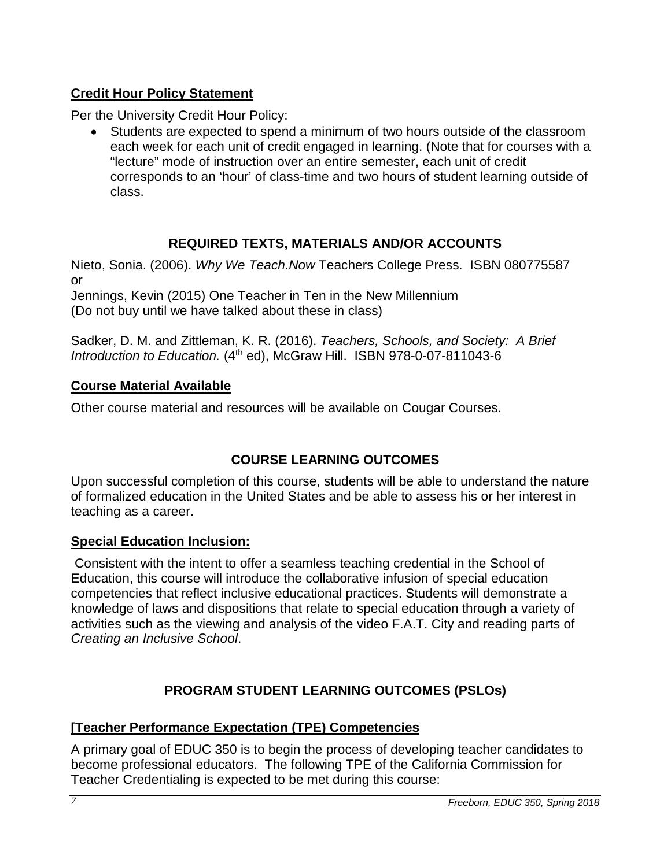# <span id="page-6-0"></span>**Credit Hour Policy Statement**

Per the University Credit Hour Policy:

• Students are expected to spend a minimum of two hours outside of the classroom each week for each unit of credit engaged in learning. (Note that for courses with a "lecture" mode of instruction over an entire semester, each unit of credit corresponds to an 'hour' of class-time and two hours of student learning outside of class.

# **REQUIRED TEXTS, MATERIALS AND/OR ACCOUNTS**

<span id="page-6-1"></span>Nieto, Sonia. (2006). *Why We Teach*.*Now* Teachers College Press. ISBN 080775587 or

Jennings, Kevin (2015) One Teacher in Ten in the New Millennium (Do not buy until we have talked about these in class)

Sadker, D. M. and Zittleman, K. R. (2016). *Teachers, Schools, and Society: A Brief*  Introduction to Education. (4<sup>th</sup> ed), McGraw Hill. ISBN 978-0-07-811043-6

# <span id="page-6-2"></span>**Course Material Available**

Other course material and resources will be available on Cougar Courses.

# **COURSE LEARNING OUTCOMES**

<span id="page-6-3"></span>Upon successful completion of this course, students will be able to understand the nature of formalized education in the United States and be able to assess his or her interest in teaching as a career.

# <span id="page-6-4"></span>**Special Education Inclusion:**

Consistent with the intent to offer a seamless teaching credential in the School of Education, this course will introduce the collaborative infusion of special education competencies that reflect inclusive educational practices. Students will demonstrate a knowledge of laws and dispositions that relate to special education through a variety of activities such as the viewing and analysis of the video F.A.T. City and reading parts of *Creating an Inclusive School*.

# **PROGRAM STUDENT LEARNING OUTCOMES (PSLOs)**

# <span id="page-6-6"></span><span id="page-6-5"></span>**[Teacher Performance Expectation (TPE) Competencies**

A primary goal of EDUC 350 is to begin the process of developing teacher candidates to become professional educators. The following TPE of the California Commission for Teacher Credentialing is expected to be met during this course: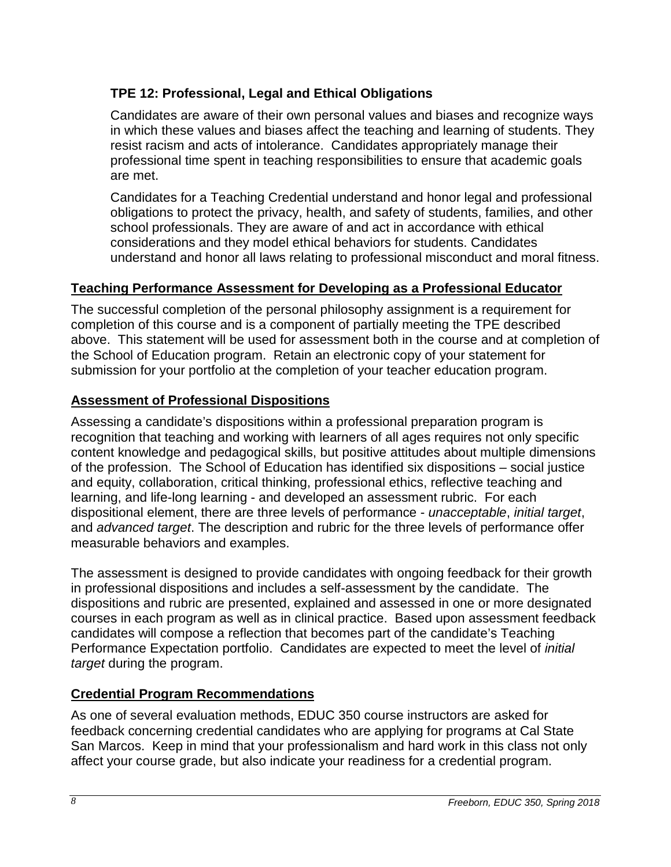# <span id="page-7-0"></span>**TPE 12: Professional, Legal and Ethical Obligations**

Candidates are aware of their own personal values and biases and recognize ways in which these values and biases affect the teaching and learning of students. They resist racism and acts of intolerance. Candidates appropriately manage their professional time spent in teaching responsibilities to ensure that academic goals are met.

Candidates for a Teaching Credential understand and honor legal and professional obligations to protect the privacy, health, and safety of students, families, and other school professionals. They are aware of and act in accordance with ethical considerations and they model ethical behaviors for students. Candidates understand and honor all laws relating to professional misconduct and moral fitness.

## <span id="page-7-1"></span>**Teaching Performance Assessment for Developing as a Professional Educator**

The successful completion of the personal philosophy assignment is a requirement for completion of this course and is a component of partially meeting the TPE described above. This statement will be used for assessment both in the course and at completion of the School of Education program. Retain an electronic copy of your statement for submission for your portfolio at the completion of your teacher education program.

## <span id="page-7-2"></span>**Assessment of Professional Dispositions**

Assessing a candidate's dispositions within a professional preparation program is recognition that teaching and working with learners of all ages requires not only specific content knowledge and pedagogical skills, but positive attitudes about multiple dimensions of the profession. The School of Education has identified six dispositions – social justice and equity, collaboration, critical thinking, professional ethics, reflective teaching and learning, and life-long learning - and developed an assessment rubric. For each dispositional element, there are three levels of performance - *unacceptable*, *initial target*, and *advanced target*. The description and rubric for the three levels of performance offer measurable behaviors and examples.

The assessment is designed to provide candidates with ongoing feedback for their growth in professional dispositions and includes a self-assessment by the candidate. The dispositions and rubric are presented, explained and assessed in one or more designated courses in each program as well as in clinical practice. Based upon assessment feedback candidates will compose a reflection that becomes part of the candidate's Teaching Performance Expectation portfolio. Candidates are expected to meet the level of *initial target* during the program.

## <span id="page-7-3"></span>**Credential Program Recommendations**

As one of several evaluation methods, EDUC 350 course instructors are asked for feedback concerning credential candidates who are applying for programs at Cal State San Marcos. Keep in mind that your professionalism and hard work in this class not only affect your course grade, but also indicate your readiness for a credential program.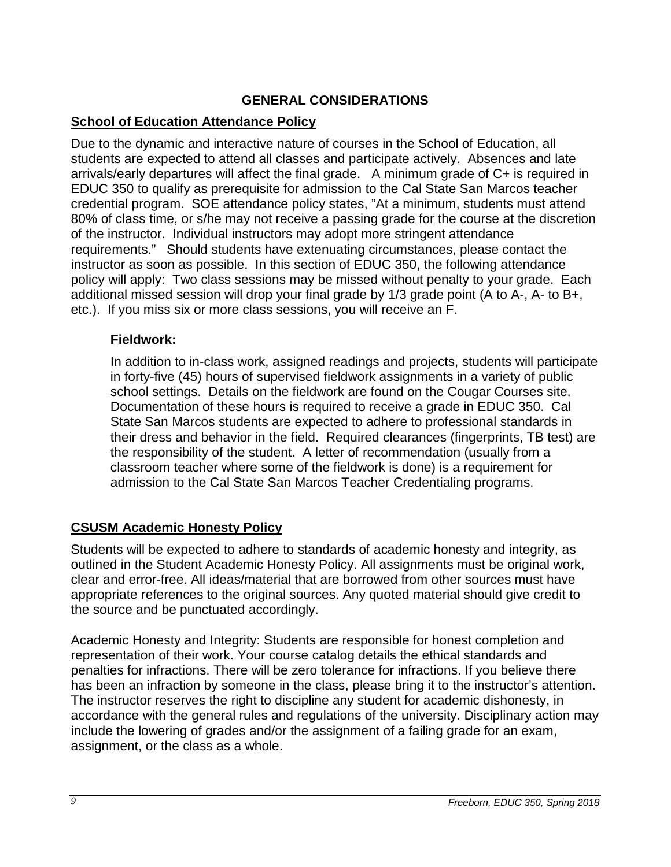## **GENERAL CONSIDERATIONS**

# <span id="page-8-1"></span><span id="page-8-0"></span>**School of Education Attendance Policy**

Due to the dynamic and interactive nature of courses in the School of Education, all students are expected to attend all classes and participate actively. Absences and late arrivals/early departures will affect the final grade. A minimum grade of C+ is required in EDUC 350 to qualify as prerequisite for admission to the Cal State San Marcos teacher credential program. SOE attendance policy states, "At a minimum, students must attend 80% of class time, or s/he may not receive a passing grade for the course at the discretion of the instructor. Individual instructors may adopt more stringent attendance requirements." Should students have extenuating circumstances, please contact the instructor as soon as possible. In this section of EDUC 350, the following attendance policy will apply: Two class sessions may be missed without penalty to your grade. Each additional missed session will drop your final grade by 1/3 grade point (A to A-, A- to B+, etc.). If you miss six or more class sessions, you will receive an F.

#### <span id="page-8-2"></span>**Fieldwork:**

In addition to in-class work, assigned readings and projects, students will participate in forty-five (45) hours of supervised fieldwork assignments in a variety of public school settings. Details on the fieldwork are found on the Cougar Courses site. Documentation of these hours is required to receive a grade in EDUC 350. Cal State San Marcos students are expected to adhere to professional standards in their dress and behavior in the field. Required clearances (fingerprints, TB test) are the responsibility of the student. A letter of recommendation (usually from a classroom teacher where some of the fieldwork is done) is a requirement for admission to the Cal State San Marcos Teacher Credentialing programs.

# <span id="page-8-3"></span>**CSUSM Academic Honesty Policy**

Students will be expected to adhere to standards of academic honesty and integrity, as outlined in the Student Academic Honesty Policy. All assignments must be original work, clear and error-free. All ideas/material that are borrowed from other sources must have appropriate references to the original sources. Any quoted material should give credit to the source and be punctuated accordingly.

Academic Honesty and Integrity: Students are responsible for honest completion and representation of their work. Your course catalog details the ethical standards and penalties for infractions. There will be zero tolerance for infractions. If you believe there has been an infraction by someone in the class, please bring it to the instructor's attention. The instructor reserves the right to discipline any student for academic dishonesty, in accordance with the general rules and regulations of the university. Disciplinary action may include the lowering of grades and/or the assignment of a failing grade for an exam, assignment, or the class as a whole.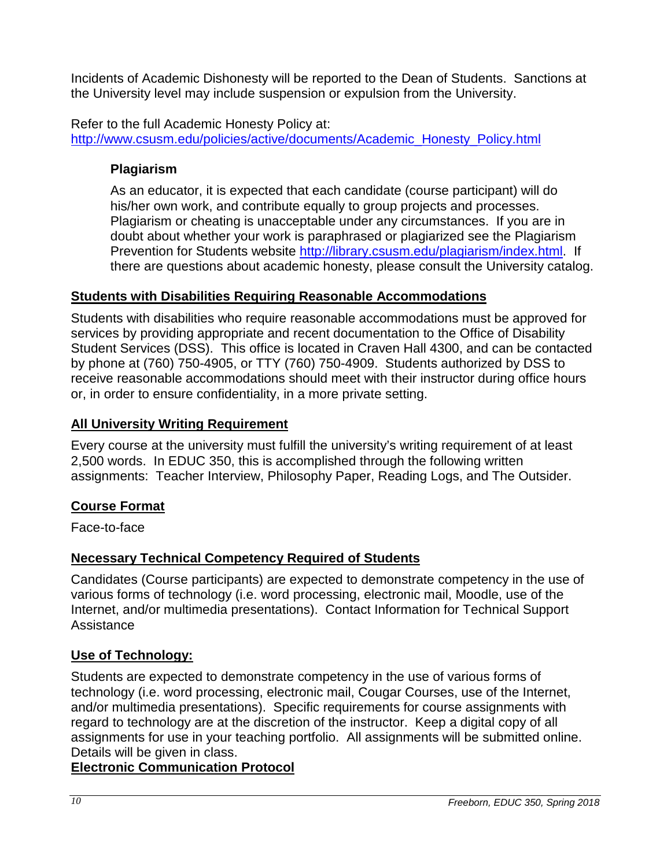Incidents of Academic Dishonesty will be reported to the Dean of Students. Sanctions at the University level may include suspension or expulsion from the University.

Refer to the full Academic Honesty Policy at: [http://www.csusm.edu/policies/active/documents/Academic\\_Honesty\\_Policy.html](http://www.csusm.edu/policies/active/documents/Academic_Honesty_Policy.html)

# <span id="page-9-0"></span>**Plagiarism**

As an educator, it is expected that each candidate (course participant) will do his/her own work, and contribute equally to group projects and processes. Plagiarism or cheating is unacceptable under any circumstances. If you are in doubt about whether your work is paraphrased or plagiarized see the Plagiarism Prevention for Students website [http://library.csusm.edu/plagiarism/index.html.](http://library.csusm.edu/plagiarism/index.html) If there are questions about academic honesty, please consult the University catalog.

# <span id="page-9-1"></span>**Students with Disabilities Requiring Reasonable Accommodations**

Students with disabilities who require reasonable accommodations must be approved for services by providing appropriate and recent documentation to the Office of Disability Student Services (DSS). This office is located in Craven Hall 4300, and can be contacted by phone at (760) 750-4905, or TTY (760) 750-4909. Students authorized by DSS to receive reasonable accommodations should meet with their instructor during office hours or, in order to ensure confidentiality, in a more private setting.

# <span id="page-9-2"></span>**All University Writing Requirement**

Every course at the university must fulfill the university's writing requirement of at least 2,500 words. In EDUC 350, this is accomplished through the following written assignments: Teacher Interview, Philosophy Paper, Reading Logs, and The Outsider.

# <span id="page-9-3"></span>**Course Format**

Face-to-face

# <span id="page-9-4"></span>**Necessary Technical Competency Required of Students**

Candidates (Course participants) are expected to demonstrate competency in the use of various forms of technology (i.e. word processing, electronic mail, Moodle, use of the Internet, and/or multimedia presentations). Contact Information for Technical Support Assistance

# <span id="page-9-5"></span>**Use of Technology:**

Students are expected to demonstrate competency in the use of various forms of technology (i.e. word processing, electronic mail, Cougar Courses, use of the Internet, and/or multimedia presentations). Specific requirements for course assignments with regard to technology are at the discretion of the instructor. Keep a digital copy of all assignments for use in your teaching portfolio. All assignments will be submitted online. Details will be given in class.

# **Electronic Communication Protocol**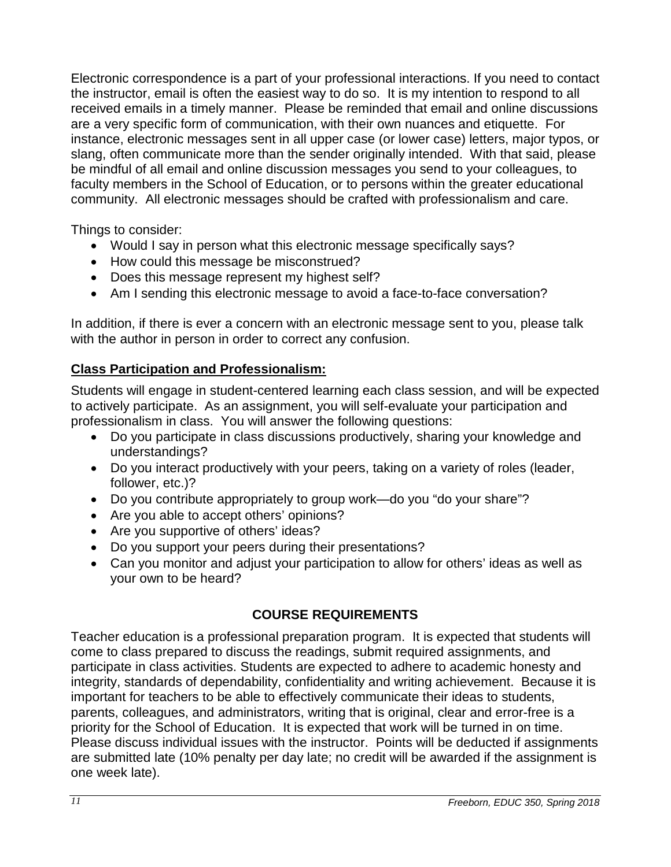Electronic correspondence is a part of your professional interactions. If you need to contact the instructor, email is often the easiest way to do so. It is my intention to respond to all received emails in a timely manner. Please be reminded that email and online discussions are a very specific form of communication, with their own nuances and etiquette. For instance, electronic messages sent in all upper case (or lower case) letters, major typos, or slang, often communicate more than the sender originally intended. With that said, please be mindful of all email and online discussion messages you send to your colleagues, to faculty members in the School of Education, or to persons within the greater educational community. All electronic messages should be crafted with professionalism and care.

Things to consider:

- Would I say in person what this electronic message specifically says?
- How could this message be misconstrued?
- Does this message represent my highest self?
- Am I sending this electronic message to avoid a face-to-face conversation?

In addition, if there is ever a concern with an electronic message sent to you, please talk with the author in person in order to correct any confusion.

# <span id="page-10-0"></span>**Class Participation and Professionalism:**

Students will engage in student-centered learning each class session, and will be expected to actively participate. As an assignment, you will self-evaluate your participation and professionalism in class. You will answer the following questions:

- Do you participate in class discussions productively, sharing your knowledge and understandings?
- Do you interact productively with your peers, taking on a variety of roles (leader, follower, etc.)?
- Do you contribute appropriately to group work—do you "do your share"?
- Are you able to accept others' opinions?
- Are you supportive of others' ideas?
- Do you support your peers during their presentations?
- Can you monitor and adjust your participation to allow for others' ideas as well as your own to be heard?

# **COURSE REQUIREMENTS**

<span id="page-10-1"></span>Teacher education is a professional preparation program. It is expected that students will come to class prepared to discuss the readings, submit required assignments, and participate in class activities. Students are expected to adhere to academic honesty and integrity, standards of dependability, confidentiality and writing achievement. Because it is important for teachers to be able to effectively communicate their ideas to students, parents, colleagues, and administrators, writing that is original, clear and error-free is a priority for the School of Education. It is expected that work will be turned in on time. Please discuss individual issues with the instructor. Points will be deducted if assignments are submitted late (10% penalty per day late; no credit will be awarded if the assignment is one week late).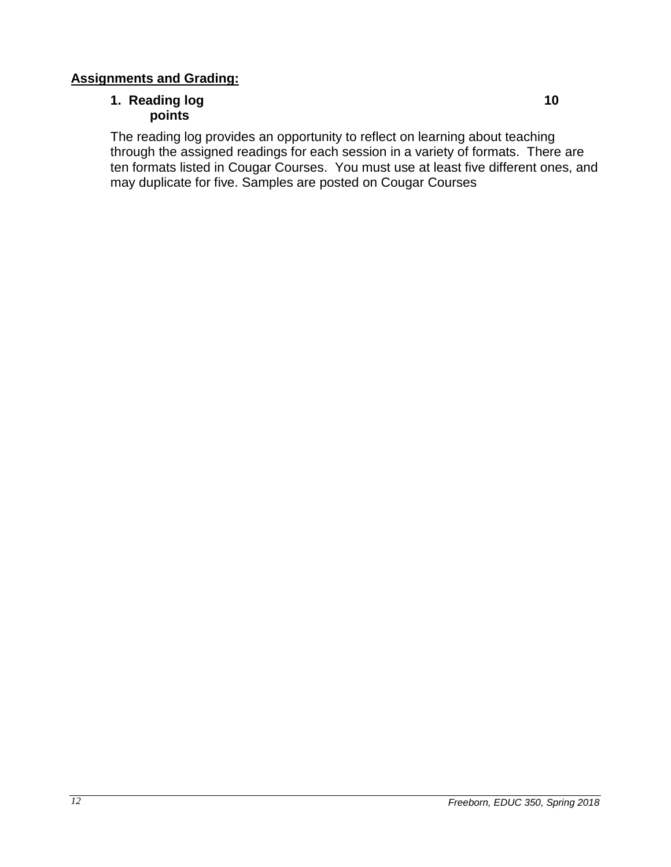### <span id="page-11-1"></span><span id="page-11-0"></span>**Assignments and Grading:**

# **1. Reading log 10 points**

The reading log provides an opportunity to reflect on learning about teaching through the assigned readings for each session in a variety of formats. There are ten formats listed in Cougar Courses. You must use at least five different ones, and may duplicate for five. Samples are posted on Cougar Courses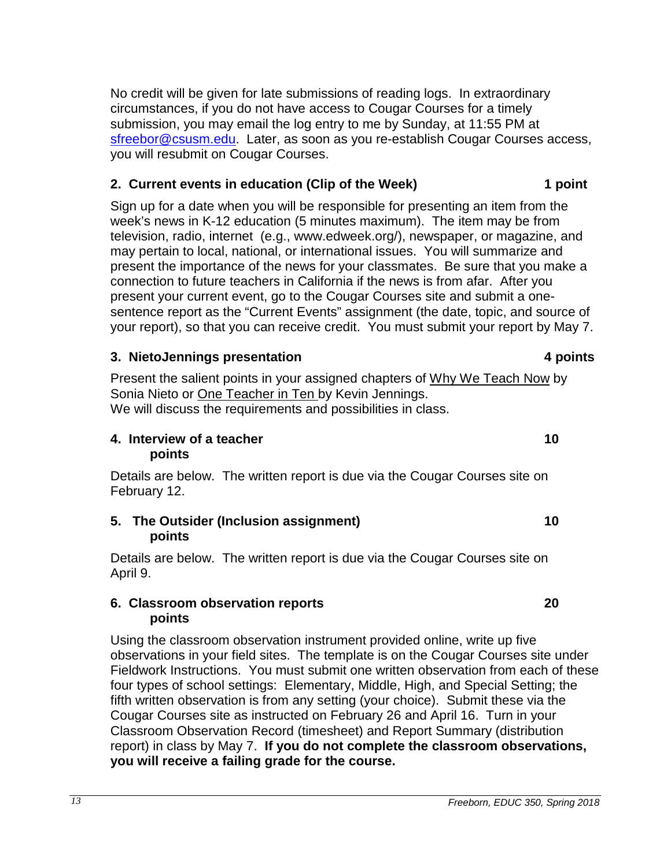No credit will be given for late submissions of reading logs. In extraordinary circumstances, if you do not have access to Cougar Courses for a timely submission, you may email the log entry to me by Sunday, at 11:55 PM at [sfreebor@csusm.edu.](mailto:mcdaniel@csusm.edu) Later, as soon as you re-establish Cougar Courses access, you will resubmit on Cougar Courses.

#### <span id="page-12-0"></span>**2. Current events in education (Clip of the Week) 1 point**

Sign up for a date when you will be responsible for presenting an item from the week's news in K-12 education (5 minutes maximum). The item may be from television, radio, internet (e.g., www.edweek.org/), newspaper, or magazine, and may pertain to local, national, or international issues. You will summarize and present the importance of the news for your classmates. Be sure that you make a connection to future teachers in California if the news is from afar. After you present your current event, go to the Cougar Courses site and submit a onesentence report as the "Current Events" assignment (the date, topic, and source of your report), so that you can receive credit. You must submit your report by May 7.

#### <span id="page-12-1"></span>**3. NietoJennings presentation 4 points**

Present the salient points in your assigned chapters of Why We Teach Now by Sonia Nieto or One Teacher in Ten by Kevin Jennings. We will discuss the requirements and possibilities in class.

#### <span id="page-12-2"></span>**4. Interview of a teacher 10 points**

Details are below. The written report is due via the Cougar Courses site on February 12.

#### <span id="page-12-3"></span>**5. The Outsider (Inclusion assignment) 10 points**

Details are below. The written report is due via the Cougar Courses site on April 9.

#### <span id="page-12-4"></span>**6. Classroom observation reports 20 points**

Using the classroom observation instrument provided online, write up five observations in your field sites. The template is on the Cougar Courses site under Fieldwork Instructions. You must submit one written observation from each of these four types of school settings: Elementary, Middle, High, and Special Setting; the fifth written observation is from any setting (your choice). Submit these via the Cougar Courses site as instructed on February 26 and April 16. Turn in your Classroom Observation Record (timesheet) and Report Summary (distribution report) in class by May 7. **If you do not complete the classroom observations, you will receive a failing grade for the course.**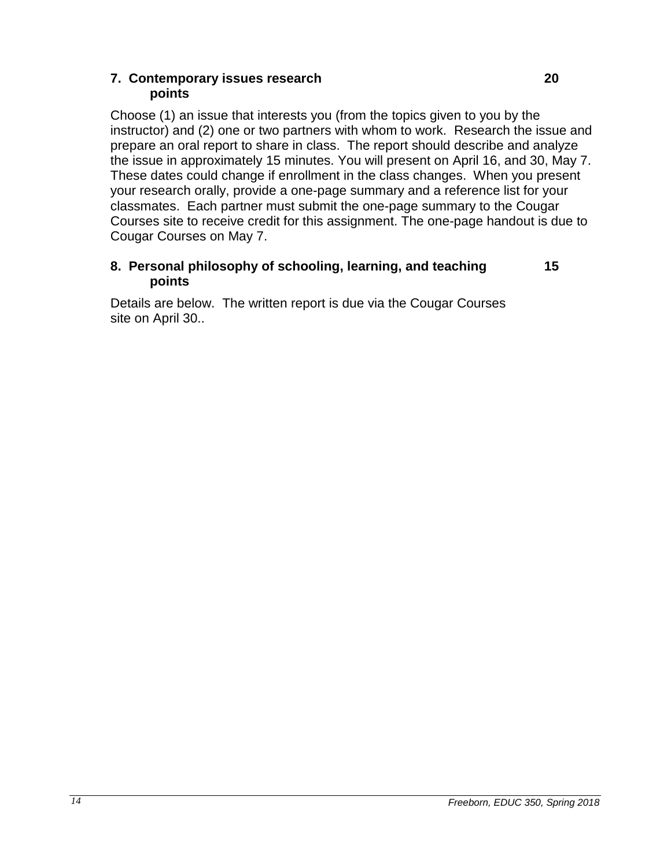#### <span id="page-13-0"></span>**7. Contemporary issues research 20 points**

Choose (1) an issue that interests you (from the topics given to you by the instructor) and (2) one or two partners with whom to work. Research the issue and prepare an oral report to share in class. The report should describe and analyze the issue in approximately 15 minutes. You will present on April 16, and 30, May 7. These dates could change if enrollment in the class changes. When you present your research orally, provide a one-page summary and a reference list for your classmates. Each partner must submit the one-page summary to the Cougar Courses site to receive credit for this assignment. The one-page handout is due to Cougar Courses on May 7.

## <span id="page-13-1"></span>**8. Personal philosophy of schooling, learning, and teaching 15 points**

Details are below. The written report is due via the Cougar Courses site on April 30..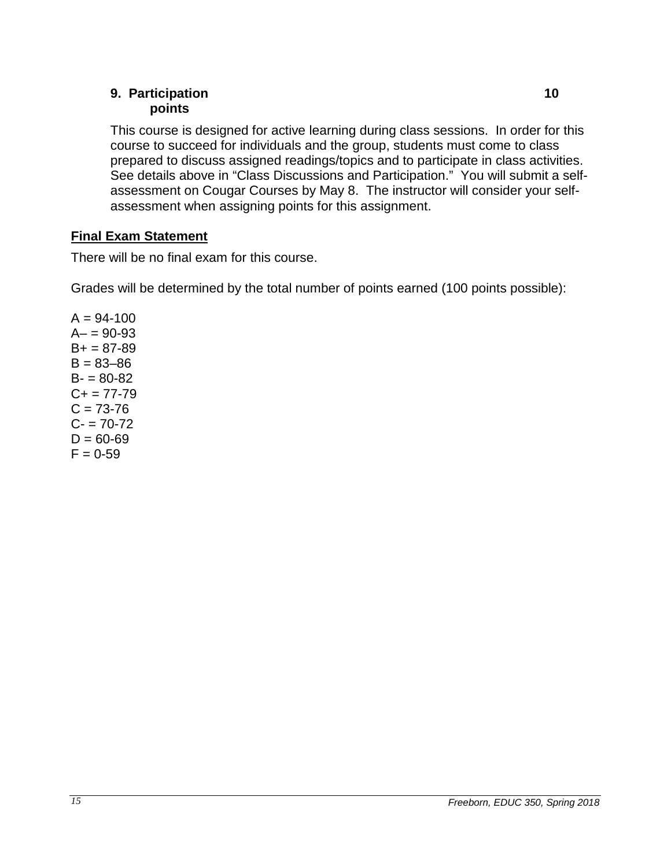#### <span id="page-14-0"></span>**9. Participation 10 points**

This course is designed for active learning during class sessions. In order for this course to succeed for individuals and the group, students must come to class prepared to discuss assigned readings/topics and to participate in class activities. See details above in "Class Discussions and Participation." You will submit a selfassessment on Cougar Courses by May 8. The instructor will consider your selfassessment when assigning points for this assignment.

# <span id="page-14-1"></span>**Final Exam Statement**

There will be no final exam for this course.

Grades will be determined by the total number of points earned (100 points possible):

<span id="page-14-2"></span> $A = 94 - 100$  $A - 90 - 93$  $B+ = 87-89$  $B = 83 - 86$  $B - 80 - 82$  $C+= 77-79$  $C = 73-76$  $C - 70 - 72$  $D = 60 - 69$  $F = 0.59$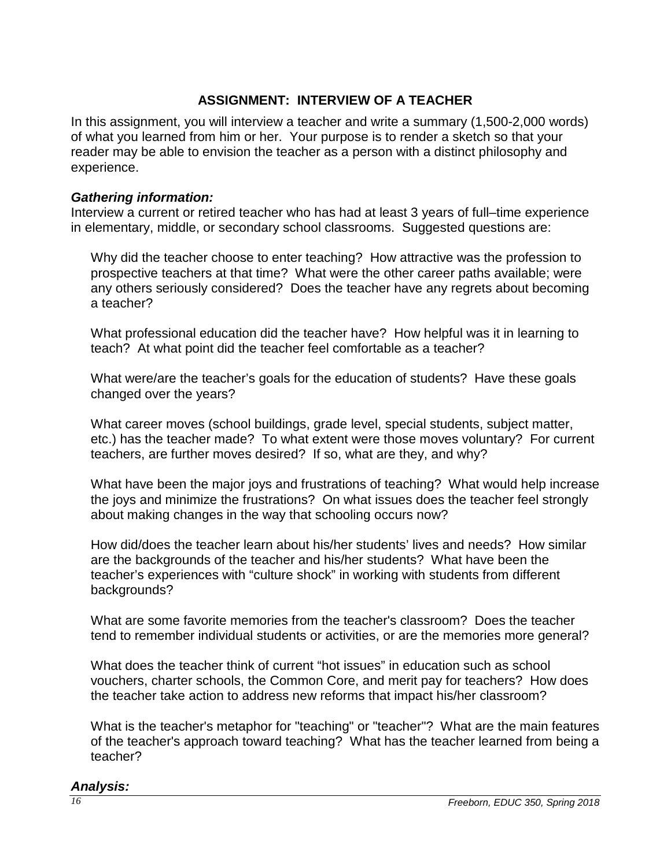# **ASSIGNMENT: INTERVIEW OF A TEACHER**

In this assignment, you will interview a teacher and write a summary (1,500-2,000 words) of what you learned from him or her. Your purpose is to render a sketch so that your reader may be able to envision the teacher as a person with a distinct philosophy and experience.

#### *Gathering information:*

Interview a current or retired teacher who has had at least 3 years of full–time experience in elementary, middle, or secondary school classrooms. Suggested questions are:

Why did the teacher choose to enter teaching? How attractive was the profession to prospective teachers at that time? What were the other career paths available; were any others seriously considered? Does the teacher have any regrets about becoming a teacher?

What professional education did the teacher have? How helpful was it in learning to teach? At what point did the teacher feel comfortable as a teacher?

What were/are the teacher's goals for the education of students? Have these goals changed over the years?

What career moves (school buildings, grade level, special students, subject matter, etc.) has the teacher made? To what extent were those moves voluntary? For current teachers, are further moves desired? If so, what are they, and why?

What have been the major joys and frustrations of teaching? What would help increase the joys and minimize the frustrations? On what issues does the teacher feel strongly about making changes in the way that schooling occurs now?

How did/does the teacher learn about his/her students' lives and needs? How similar are the backgrounds of the teacher and his/her students? What have been the teacher's experiences with "culture shock" in working with students from different backgrounds?

What are some favorite memories from the teacher's classroom? Does the teacher tend to remember individual students or activities, or are the memories more general?

What does the teacher think of current "hot issues" in education such as school vouchers, charter schools, the Common Core, and merit pay for teachers? How does the teacher take action to address new reforms that impact his/her classroom?

What is the teacher's metaphor for "teaching" or "teacher"? What are the main features of the teacher's approach toward teaching? What has the teacher learned from being a teacher?

#### *Analysis:*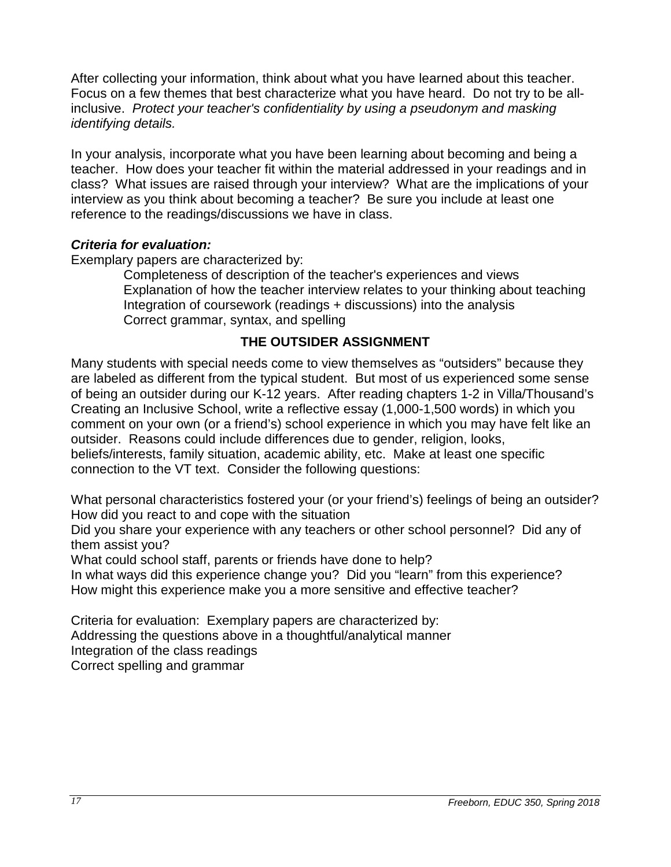After collecting your information, think about what you have learned about this teacher. Focus on a few themes that best characterize what you have heard. Do not try to be allinclusive. *Protect your teacher's confidentiality by using a pseudonym and masking identifying details.*

In your analysis, incorporate what you have been learning about becoming and being a teacher. How does your teacher fit within the material addressed in your readings and in class? What issues are raised through your interview? What are the implications of your interview as you think about becoming a teacher? Be sure you include at least one reference to the readings/discussions we have in class.

#### *Criteria for evaluation:*

Exemplary papers are characterized by:

Completeness of description of the teacher's experiences and views Explanation of how the teacher interview relates to your thinking about teaching Integration of coursework (readings + discussions) into the analysis Correct grammar, syntax, and spelling

# **THE OUTSIDER ASSIGNMENT**

<span id="page-16-0"></span>Many students with special needs come to view themselves as "outsiders" because they are labeled as different from the typical student. But most of us experienced some sense of being an outsider during our K-12 years. After reading chapters 1-2 in Villa/Thousand's Creating an Inclusive School, write a reflective essay (1,000-1,500 words) in which you comment on your own (or a friend's) school experience in which you may have felt like an outsider. Reasons could include differences due to gender, religion, looks, beliefs/interests, family situation, academic ability, etc. Make at least one specific connection to the VT text. Consider the following questions:

What personal characteristics fostered your (or your friend's) feelings of being an outsider? How did you react to and cope with the situation

Did you share your experience with any teachers or other school personnel? Did any of them assist you?

What could school staff, parents or friends have done to help?

In what ways did this experience change you? Did you "learn" from this experience? How might this experience make you a more sensitive and effective teacher?

Criteria for evaluation: Exemplary papers are characterized by: Addressing the questions above in a thoughtful/analytical manner Integration of the class readings Correct spelling and grammar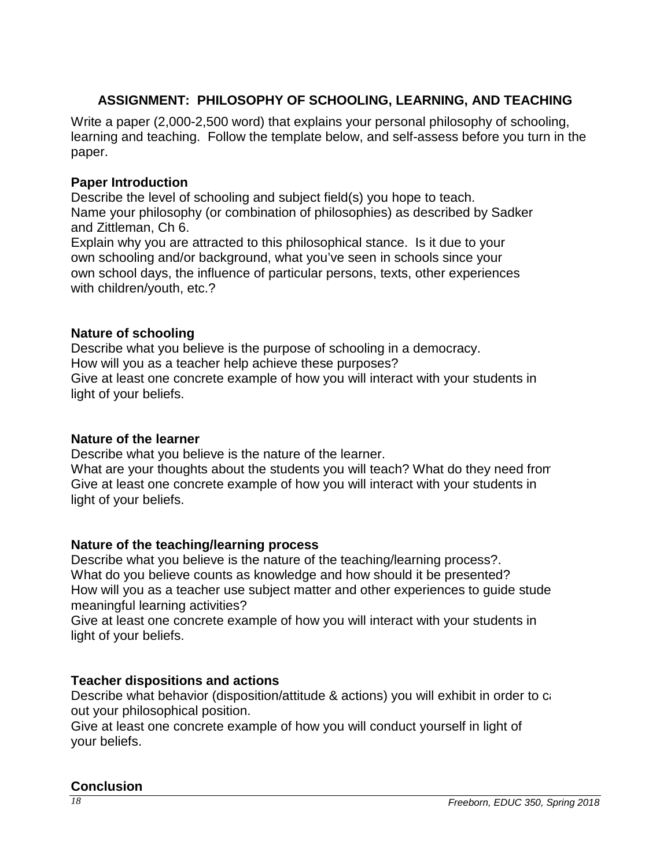# **ASSIGNMENT: PHILOSOPHY OF SCHOOLING, LEARNING, AND TEACHING**

<span id="page-17-0"></span>Write a paper (2,000-2,500 word) that explains your personal philosophy of schooling, learning and teaching. Follow the template below, and self-assess before you turn in the paper.

#### **Paper Introduction**

Describe the level of schooling and subject field(s) you hope to teach. Name your philosophy (or combination of philosophies) as described by Sadker and Zittleman, Ch 6.

Explain why you are attracted to this philosophical stance. Is it due to your own schooling and/or background, what you've seen in schools since your own school days, the influence of particular persons, texts, other experiences with children/youth, etc.?

#### **Nature of schooling**

Describe what you believe is the purpose of schooling in a democracy. How will you as a teacher help achieve these purposes? Give at least one concrete example of how you will interact with your students in light of your beliefs.

#### **Nature of the learner**

Describe what you believe is the nature of the learner.

What are your thoughts about the students you will teach? What do they need from Give at least one concrete example of how you will interact with your students in light of your beliefs.

## **Nature of the teaching/learning process**

Describe what you believe is the nature of the teaching/learning process?. What do you believe counts as knowledge and how should it be presented? How will you as a teacher use subject matter and other experiences to guide stude meaningful learning activities?

Give at least one concrete example of how you will interact with your students in light of your beliefs.

## **Teacher dispositions and actions**

Describe what behavior (disposition/attitude & actions) you will exhibit in order to ca out your philosophical position.

Give at least one concrete example of how you will conduct yourself in light of your beliefs.

#### **Conclusion**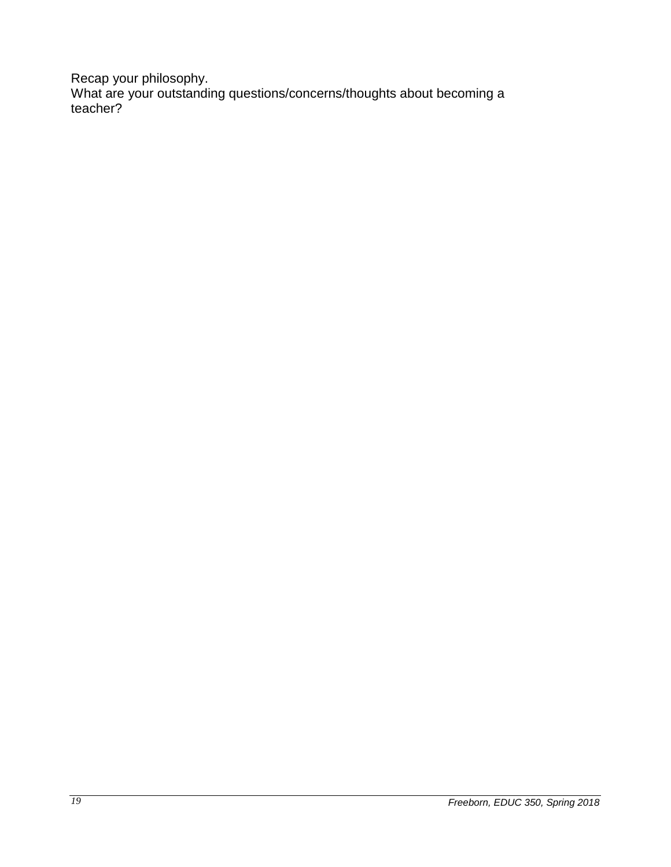Recap your philosophy. What are your outstanding questions/concerns/thoughts about becoming a teacher?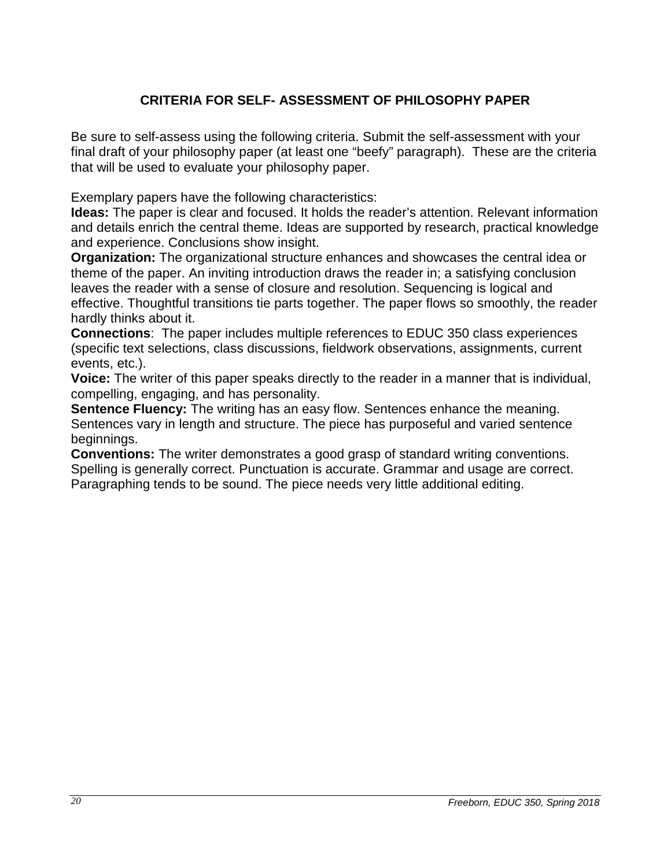# **CRITERIA FOR SELF- ASSESSMENT OF PHILOSOPHY PAPER**

<span id="page-19-0"></span>Be sure to self-assess using the following criteria. Submit the self-assessment with your final draft of your philosophy paper (at least one "beefy" paragraph). These are the criteria that will be used to evaluate your philosophy paper.

Exemplary papers have the following characteristics:

**Ideas:** The paper is clear and focused. It holds the reader's attention. Relevant information and details enrich the central theme. Ideas are supported by research, practical knowledge and experience. Conclusions show insight.

**Organization:** The organizational structure enhances and showcases the central idea or theme of the paper. An inviting introduction draws the reader in; a satisfying conclusion leaves the reader with a sense of closure and resolution. Sequencing is logical and effective. Thoughtful transitions tie parts together. The paper flows so smoothly, the reader hardly thinks about it.

**Connections**: The paper includes multiple references to EDUC 350 class experiences (specific text selections, class discussions, fieldwork observations, assignments, current events, etc.).

**Voice:** The writer of this paper speaks directly to the reader in a manner that is individual, compelling, engaging, and has personality.

**Sentence Fluency:** The writing has an easy flow. Sentences enhance the meaning. Sentences vary in length and structure. The piece has purposeful and varied sentence beginnings.

**Conventions:** The writer demonstrates a good grasp of standard writing conventions. Spelling is generally correct. Punctuation is accurate. Grammar and usage are correct. Paragraphing tends to be sound. The piece needs very little additional editing.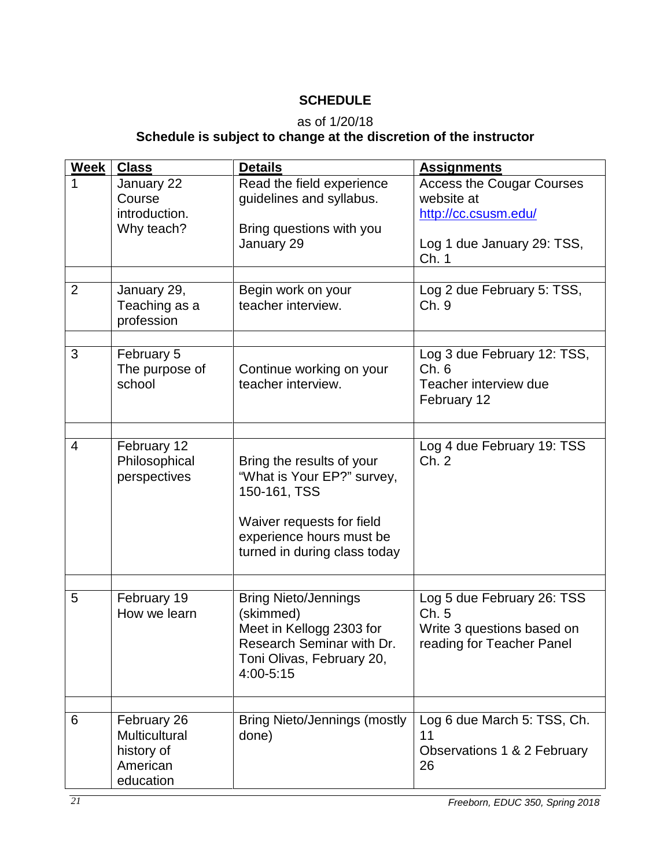# **SCHEDULE**

# as of 1/20/18

# **Schedule is subject to change at the discretion of the instructor**

<span id="page-20-0"></span>

| <b>Week</b>    | <b>Class</b>                                                        | <b>Details</b>                                                                                                                                                   | <b>Assignments</b>                                                                                            |
|----------------|---------------------------------------------------------------------|------------------------------------------------------------------------------------------------------------------------------------------------------------------|---------------------------------------------------------------------------------------------------------------|
| 1              | January 22<br>Course<br>introduction.<br>Why teach?                 | Read the field experience<br>guidelines and syllabus.<br>Bring questions with you<br>January 29                                                                  | <b>Access the Cougar Courses</b><br>website at<br>http://cc.csusm.edu/<br>Log 1 due January 29: TSS,<br>Ch. 1 |
| 2              | January 29,<br>Teaching as a<br>profession                          | Begin work on your<br>teacher interview.                                                                                                                         | Log 2 due February 5: TSS,<br>Ch. 9                                                                           |
| 3              | February 5<br>The purpose of<br>school                              | Continue working on your<br>teacher interview.                                                                                                                   | Log 3 due February 12: TSS,<br>Ch.6<br>Teacher interview due<br>February 12                                   |
| $\overline{4}$ | February 12<br>Philosophical<br>perspectives                        | Bring the results of your<br>"What is Your EP?" survey,<br>150-161, TSS<br>Waiver requests for field<br>experience hours must be<br>turned in during class today | Log 4 due February 19: TSS<br>Ch.2                                                                            |
| 5              | February 19<br>How we learn                                         | <b>Bring Nieto/Jennings</b><br>(skimmed)<br>Meet in Kellogg 2303 for<br>Research Seminar with Dr.<br>Toni Olivas, February 20,<br>4:00-5:15                      | Log 5 due February 26: TSS<br>Ch.5<br>Write 3 questions based on<br>reading for Teacher Panel                 |
| 6              | February 26<br>Multicultural<br>history of<br>American<br>education | <b>Bring Nieto/Jennings (mostly</b><br>done)                                                                                                                     | Log 6 due March 5: TSS, Ch.<br>11<br>Observations 1 & 2 February<br>26                                        |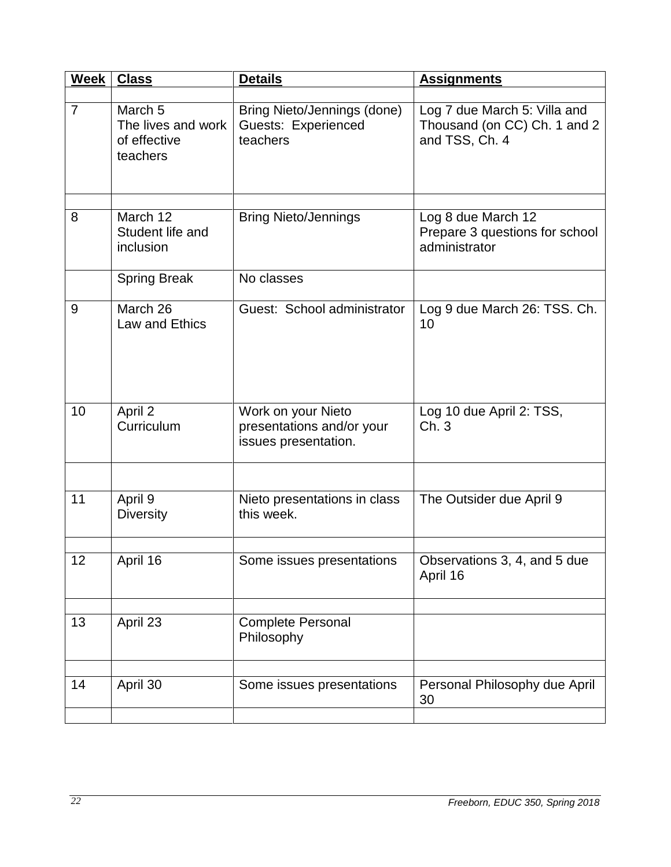| Week           | <b>Class</b>                                                         | <b>Details</b>                                                          | <b>Assignments</b>                                                             |
|----------------|----------------------------------------------------------------------|-------------------------------------------------------------------------|--------------------------------------------------------------------------------|
| $\overline{7}$ | March <sub>5</sub><br>The lives and work<br>of effective<br>teachers | Bring Nieto/Jennings (done)<br>Guests: Experienced<br>teachers          | Log 7 due March 5: Villa and<br>Thousand (on CC) Ch. 1 and 2<br>and TSS, Ch. 4 |
|                |                                                                      |                                                                         |                                                                                |
| 8              | March 12<br>Student life and<br>inclusion                            | <b>Bring Nieto/Jennings</b>                                             | Log 8 due March 12<br>Prepare 3 questions for school<br>administrator          |
|                | <b>Spring Break</b>                                                  | No classes                                                              |                                                                                |
| 9              | March 26<br>Law and Ethics                                           | Guest: School administrator                                             | Log 9 due March 26: TSS. Ch.<br>10                                             |
| 10             | April 2<br>Curriculum                                                | Work on your Nieto<br>presentations and/or your<br>issues presentation. | Log 10 due April 2: TSS,<br>Ch.3                                               |
|                |                                                                      |                                                                         |                                                                                |
| 11             | April 9<br><b>Diversity</b>                                          | Nieto presentations in class<br>this week.                              | The Outsider due April 9                                                       |
| 12             | April 16                                                             | Some issues presentations                                               | Observations 3, 4, and 5 due<br>April 16                                       |
|                |                                                                      |                                                                         |                                                                                |
| 13             | April 23                                                             | <b>Complete Personal</b><br>Philosophy                                  |                                                                                |
|                |                                                                      |                                                                         |                                                                                |
| 14             | April 30                                                             | Some issues presentations                                               | Personal Philosophy due April<br>30                                            |